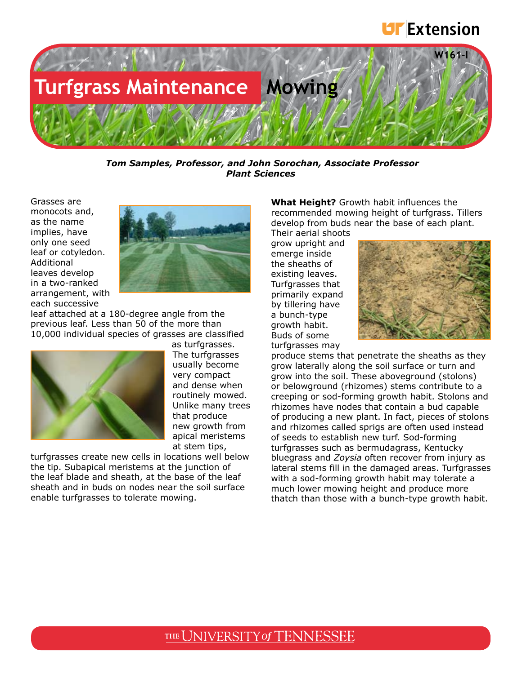# **Extension**



*Tom Samples, Professor, and John Sorochan, Associate Professor Plant Sciences* 

Grasses are monocots and, as the name implies, have only one seed leaf or cotyledon. Additional leaves develop in a two-ranked arrangement, with each successive



leaf attached at a 180-degree angle from the previous leaf. Less than 50 of the more than 10,000 individual species of grasses are classified



as turfgrasses. The turfgrasses usually become very compact and dense when routinely mowed. Unlike many trees that produce new growth from apical meristems at stem tips,

turfgrasses create new cells in locations well below the tip. Subapical meristems at the junction of the leaf blade and sheath, at the base of the leaf sheath and in buds on nodes near the soil surface enable turfgrasses to tolerate mowing.

**What Height?** Growth habit influences the recommended mowing height of turfgrass. Tillers develop from buds near the base of each plant.

Their aerial shoots grow upright and emerge inside the sheaths of existing leaves. Turfgrasses that primarily expand by tillering have a bunch-type growth habit. Buds of some turfgrasses may



produce stems that penetrate the sheaths as they grow laterally along the soil surface or turn and grow into the soil. These aboveground (stolons) or belowground (rhizomes) stems contribute to a creeping or sod-forming growth habit. Stolons and rhizomes have nodes that contain a bud capable of producing a new plant. In fact, pieces of stolons and rhizomes called sprigs are often used instead of seeds to establish new turf. Sod-forming turfgrasses such as bermudagrass, Kentucky bluegrass and *Zoysia* often recover from injury as lateral stems fill in the damaged areas. Turfgrasses with a sod-forming growth habit may tolerate a much lower mowing height and produce more thatch than those with a bunch-type growth habit.

#### THE UNIVERSITY of TENNESSEE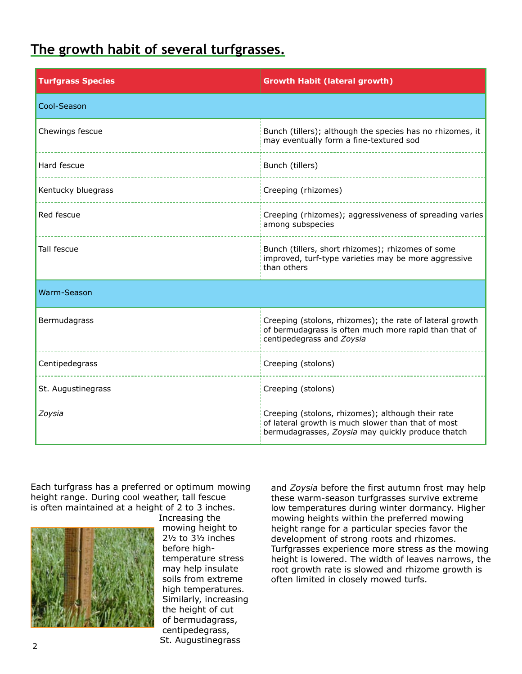## **The growth habit of several turfgrasses.**

| <b>Turfgrass Species</b> | <b>Growth Habit (lateral growth)</b>                                                                                                                         |  |
|--------------------------|--------------------------------------------------------------------------------------------------------------------------------------------------------------|--|
| Cool-Season              |                                                                                                                                                              |  |
| Chewings fescue          | Bunch (tillers); although the species has no rhizomes, it<br>may eventually form a fine-textured sod                                                         |  |
| Hard fescue              | Bunch (tillers)                                                                                                                                              |  |
| Kentucky bluegrass       | Creeping (rhizomes)                                                                                                                                          |  |
| Red fescue               | Creeping (rhizomes); aggressiveness of spreading varies<br>among subspecies                                                                                  |  |
| Tall fescue              | Bunch (tillers, short rhizomes); rhizomes of some<br>improved, turf-type varieties may be more aggressive<br>than others                                     |  |
| Warm-Season              |                                                                                                                                                              |  |
| Bermudagrass             | Creeping (stolons, rhizomes); the rate of lateral growth<br>of bermudagrass is often much more rapid than that of<br>centipedegrass and Zoysia               |  |
| Centipedegrass           | Creeping (stolons)                                                                                                                                           |  |
| St. Augustinegrass       | Creeping (stolons)                                                                                                                                           |  |
| Zoysia                   | Creeping (stolons, rhizomes); although their rate<br>of lateral growth is much slower than that of most<br>bermudagrasses, Zoysia may quickly produce thatch |  |

Each turfgrass has a preferred or optimum mowing height range. During cool weather, tall fescue is often maintained at a height of 2 to 3 inches.



Increasing the mowing height to 2½ to 3½ inches before hightemperature stress may help insulate soils from extreme high temperatures. Similarly, increasing the height of cut of bermudagrass, centipedegrass, St. Augustinegrass

and *Zoysia* before the first autumn frost may help these warm-season turfgrasses survive extreme low temperatures during winter dormancy. Higher mowing heights within the preferred mowing height range for a particular species favor the development of strong roots and rhizomes. Turfgrasses experience more stress as the mowing height is lowered. The width of leaves narrows, the root growth rate is slowed and rhizome growth is often limited in closely mowed turfs.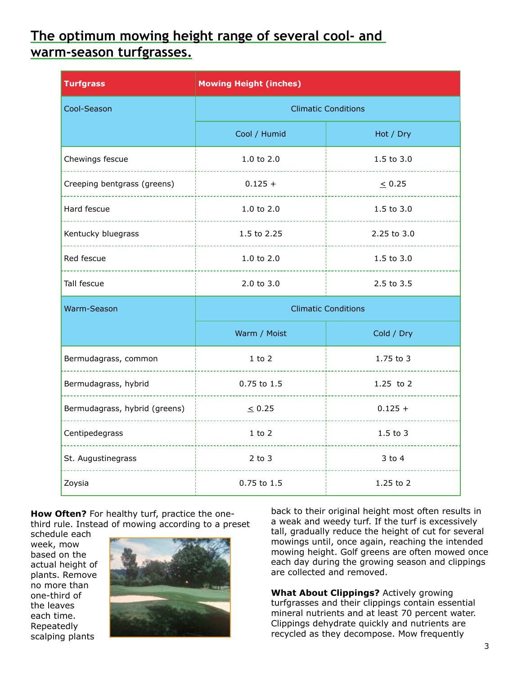### **The optimum mowing height range of several cool- and warm-season turfgrasses.**

| <b>Turfgrass</b>              | <b>Mowing Height (inches)</b> |                 |  |
|-------------------------------|-------------------------------|-----------------|--|
| Cool-Season                   | <b>Climatic Conditions</b>    |                 |  |
|                               | Cool / Humid                  | Hot / Dry       |  |
| Chewings fescue               | 1.0 to $2.0$                  | 1.5 to 3.0      |  |
| Creeping bentgrass (greens)   | $0.125 +$                     | $\leq 0.25$     |  |
| Hard fescue                   | 1.0 to 2.0                    | 1.5 to 3.0      |  |
| Kentucky bluegrass            | 1.5 to 2.25                   | $2.25$ to $3.0$ |  |
| Red fescue                    | 1.0 to 2.0                    | 1.5 to 3.0      |  |
| Tall fescue                   | $2.0 \text{ to } 3.0$         | 2.5 to 3.5      |  |
| Warm-Season                   | <b>Climatic Conditions</b>    |                 |  |
|                               | Warm / Moist                  | Cold / Dry      |  |
| Bermudagrass, common          | $1$ to $2$                    | 1.75 to 3       |  |
| Bermudagrass, hybrid          | 0.75 to 1.5                   | $1.25$ to $2$   |  |
| Bermudagrass, hybrid (greens) | $\leq 0.25$                   | $0.125 +$       |  |
| Centipedegrass                | $1$ to $2$                    | $1.5$ to $3$    |  |
| St. Augustinegrass            | $2$ to $3$                    | $3$ to 4        |  |
| Zoysia                        | 0.75 to 1.5                   | 1.25 to 2       |  |

**How Often?** For healthy turf, practice the onethird rule. Instead of mowing according to a preset

schedule each week, mow based on the actual height of plants. Remove no more than one-third of the leaves each time. Repeatedly scalping plants



back to their original height most often results in a weak and weedy turf. If the turf is excessively tall, gradually reduce the height of cut for several mowings until, once again, reaching the intended mowing height. Golf greens are often mowed once each day during the growing season and clippings are collected and removed.

**What About Clippings?** Actively growing turfgrasses and their clippings contain essential mineral nutrients and at least 70 percent water. Clippings dehydrate quickly and nutrients are recycled as they decompose. Mow frequently